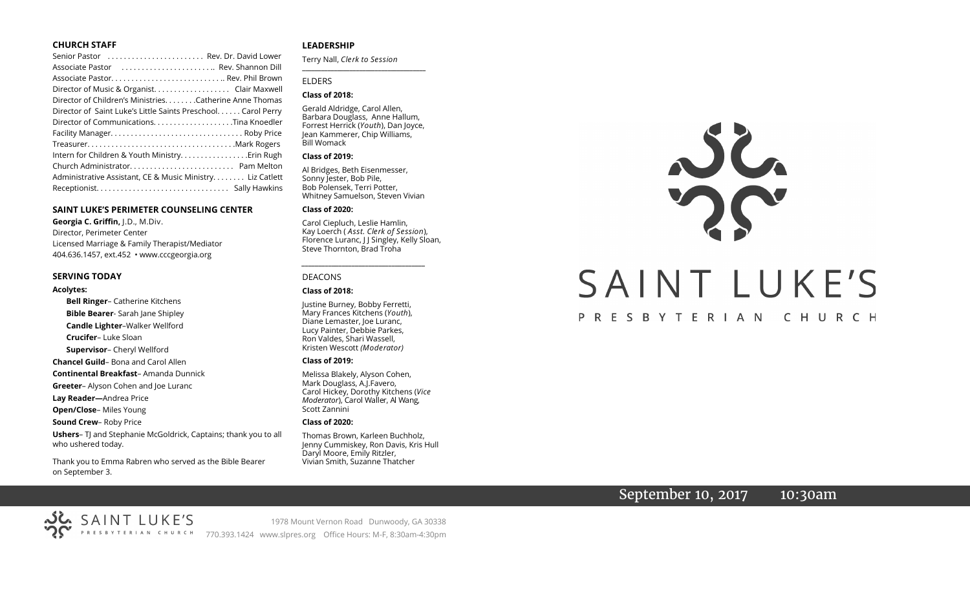#### **CHURCH STAFF**

| Senior Pastor  Rev. Dr. David Lower                          |
|--------------------------------------------------------------|
| Associate Pastor  Rev. Shannon Dill                          |
|                                                              |
| Director of Music & Organist. Clair Maxwell                  |
| Director of Children's Ministries. Catherine Anne Thomas     |
| Director of Saint Luke's Little Saints Preschool Carol Perry |
|                                                              |
|                                                              |
|                                                              |
| Intern for Children & Youth MinistryErin Rugh                |
|                                                              |
| Administrative Assistant, CE & Music Ministry Liz Catlett    |
|                                                              |

#### **SAINT LUKE'S PERIMETER COUNSELING CENTER**

**Georgia C. Griffin,** J.D., M.Div. Director, Perimeter Center Licensed Marriage & Family Therapist/Mediator 404.636.1457, ext.452 • www.cccgeorgia.org

#### **SERVING TODAY**

#### **Acolytes:**

**Bell Ringer**– Catherine Kitchens **Bible Bearer**- Sarah Jane Shipley **Candle Lighter**–Walker Wellford **Crucifer**– Luke Sloan **Supervisor**– Cheryl Wellford **Chancel Guild**– Bona and Carol Allen **Continental Breakfast**– Amanda Dunnick **Greeter**– Alyson Cohen and Joe Luranc **Lay Reader—**Andrea Price **Open/Close**– Miles Young **Sound Crew**– Roby Price **Ushers**– TJ and Stephanie McGoldrick, Captains; thank you to all who ushered today.

Thank you to Emma Rabren who served as the Bible Bearer on September 3.

#### **LEADERSHIP**

Terry Nall, *Clerk to Session* 

# ELDERS

#### **Class of 2018:**

Gerald Aldridge, Carol Allen, Barbara Douglass, Anne Hallum, Forrest Herrick (*Youth*), Dan Joyce, Jean Kammerer, Chip Williams, Bill Womack

**\_\_\_\_\_\_\_\_\_\_\_\_\_\_\_\_\_\_\_\_\_\_\_\_\_\_\_\_\_\_\_\_\_\_\_\_\_\_\_**

#### **Class of 2019:**

Al Bridges, Beth Eisenmesser, Sonny Jester, Bob Pile, Bob Polensek, Terri Potter, Whitney Samuelson, Steven Vivian

#### **Class of 2020:**

Carol Ciepluch, Leslie Hamlin, Kay Loerch ( *Asst. Clerk of Session*), Florence Luranc, J J Singley, Kelly Sloan, Steve Thornton, Brad Troha

*\_\_\_\_\_\_\_\_\_\_\_\_\_\_\_\_\_\_\_\_\_\_\_\_\_\_\_\_\_\_\_\_\_\_\_\_\_*

#### DEACONS

#### **Class of 2018:**

Justine Burney, Bobby Ferretti, Mary Frances Kitchens (*Youth*), Diane Lemaster, Joe Luranc, Lucy Painter, Debbie Parkes, Ron Valdes, Shari Wassell, Kristen Wescott *(Moderator)*

#### **Class of 2019:**

Melissa Blakely, Alyson Cohen, Mark Douglass, A.J.Favero, Carol Hickey, Dorothy Kitchens (*Vice Moderator*), Carol Waller, Al Wang, Scott Zannini

#### **Class of 2020:**

Thomas Brown, Karleen Buchholz, Jenny Cummiskey, Ron Davis, Kris Hull Daryl Moore, Emily Ritzler, Vivian Smith, Suzanne Thatcher



# September 10, 2017 10:30am

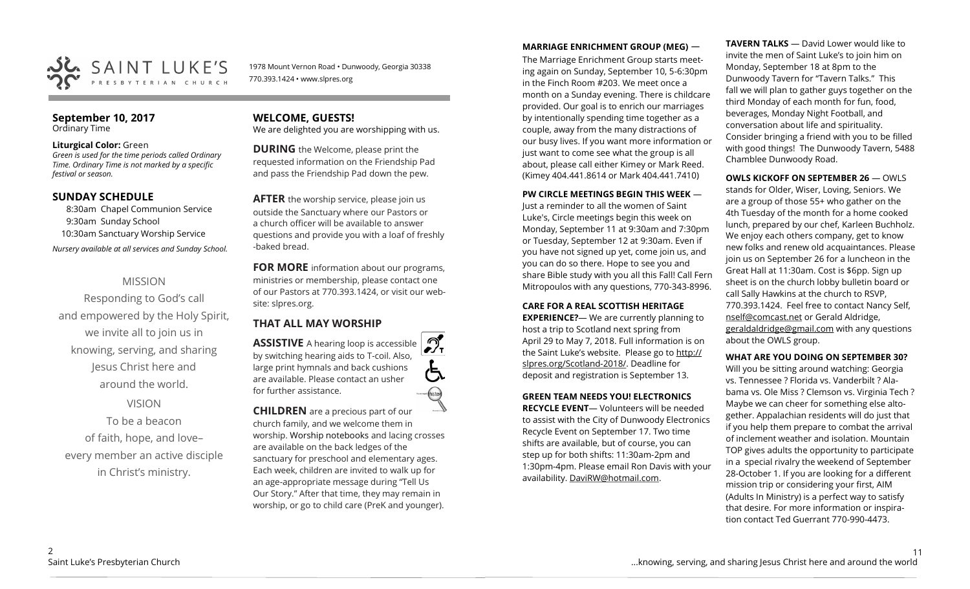

1978 Mount Vernon Road • Dunwoody, Georgia 30338 770.393.1424 • www.slpres.org

#### **September 10, 2017**  Ordinary Time

#### **Liturgical Color:** Green

*Green is used for the time periods called Ordinary Time. Ordinary Time is not marked by a specific festival or season.* 

#### **SUNDAY SCHEDULE**

8:30am Chapel Communion Service 9:30am Sunday School 10:30am Sanctuary Worship Service *Nursery available at all services and Sunday School.* 

## MISSION

Responding to God's call and empowered by the Holy Spirit, we invite all to join us in knowing, serving, and sharing Jesus Christ here and around the world.

# VISION

To be a beacon of faith, hope, and love– every member an active disciple in Christ's ministry.

# **WELCOME, GUESTS!**

We are delighted you are worshipping with us.

**DURING** the Welcome, please print the requested information on the Friendship Pad and pass the Friendship Pad down the pew.

**AFTER** the worship service, please join us outside the Sanctuary where our Pastors or a church officer will be available to answer questions and provide you with a loaf of freshly -baked bread.

**FOR MORE** information about our programs, ministries or membership, please contact one of our Pastors at 770.393.1424, or visit our website: slpres.org.

# **THAT ALL MAY WORSHIP**

 $\mathcal{D}_{\mathbf{r}}$ **ASSISTIVE** A hearing loop is accessible by switching hearing aids to T-coil. Also, large print hymnals and back cushions are available. Please contact an usher for further assistance. thisted

**CHILDREN** are a precious part of our church family, and we welcome them in worship. Worship notebooks and lacing crosses are available on the back ledges of the sanctuary for preschool and elementary ages. Each week, children are invited to walk up for an age-appropriate message during "Tell Us Our Story." After that time, they may remain in worship, or go to child care (PreK and younger).

## **MARRIAGE ENRICHMENT GROUP (MEG)** —

The Marriage Enrichment Group starts meeting again on Sunday, September 10, 5-6:30pm in the Finch Room #203. We meet once a month on a Sunday evening. There is childcare provided. Our goal is to enrich our marriages by intentionally spending time together as a couple, away from the many distractions of our busy lives. If you want more information or just want to come see what the group is all about, please call either Kimey or Mark Reed. (Kimey 404.441.8614 or Mark 404.441.7410)

#### **PW CIRCLE MEETINGS BEGIN THIS WEEK** —

Just a reminder to all the women of Saint Luke's, Circle meetings begin this week on Monday, September 11 at 9:30am and 7:30pm or Tuesday, September 12 at 9:30am. Even if you have not signed up yet, come join us, and you can do so there. Hope to see you and share Bible study with you all this Fall! Call Fern Mitropoulos with any questions, 770-343-8996.

#### **CARE FOR A REAL SCOTTISH HERITAGE**

**EXPERIENCE?**— We are currently planning to host a trip to Scotland next spring from April 29 to May 7, 2018. Full information is on the Saint Luke's website. Please go to http:// slpres.org/Scotland-2018/. Deadline for deposit and registration is September 13.

## **GREEN TEAM NEEDS YOU! ELECTRONICS**

**RECYCLE EVENT**— Volunteers will be needed to assist with the City of Dunwoody Electronics Recycle Event on September 17. Two time shifts are available, but of course, you can step up for both shifts: 11:30am-2pm and 1:30pm-4pm. Please email Ron Davis with your availability. DaviRW@hotmail.com.

**TAVERN TALKS** — David Lower would like to invite the men of Saint Luke's to join him on Monday, September 18 at 8pm to the Dunwoody Tavern for "Tavern Talks." This fall we will plan to gather guys together on the third Monday of each month for fun, food, beverages, Monday Night Football, and conversation about life and spirituality. Consider bringing a friend with you to be filled with good things! The Dunwoody Tavern, 5488 Chamblee Dunwoody Road.

# **OWLS KICKOFF ON SEPTEMBER 26** — OWLS stands for Older, Wiser, Loving, Seniors. We

are a group of those 55+ who gather on the 4th Tuesday of the month for a home cooked lunch, prepared by our chef, Karleen Buchholz. We enjoy each others company, get to know new folks and renew old acquaintances. Please join us on September 26 for a luncheon in the Great Hall at 11:30am. Cost is \$6pp. Sign up sheet is on the church lobby bulletin board or call Sally Hawkins at the church to RSVP, 770.393.1424. Feel free to contact Nancy Self, [nself@comcast.net](mailto:nself@comcast.net) or Gerald Aldridge, [geraldaldridge@gmail.com](mailto:geraldaldridge@gmail.com) with any questions about the OWLS group.

#### **WHAT ARE YOU DOING ON SEPTEMBER 30?**

Will you be sitting around watching: Georgia vs. Tennessee ? Florida vs. Vanderbilt ? Alabama vs. Ole Miss ? Clemson vs. Virginia Tech ? Maybe we can cheer for something else altogether. Appalachian residents will do just that if you help them prepare to combat the arrival of inclement weather and isolation. Mountain TOP gives adults the opportunity to participate in a special rivalry the weekend of September 28-October 1. If you are looking for a different mission trip or considering your first, AIM (Adults In Ministry) is a perfect way to satisfy that desire. For more information or inspiration contact Ted Guerrant 770-990-4473.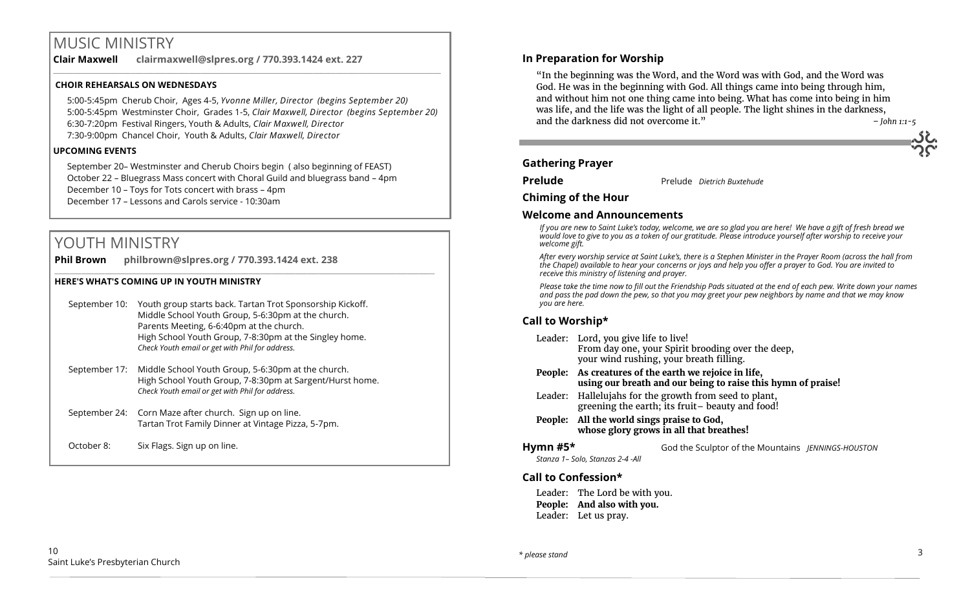# MUSIC MINISTRY

**Clair Maxwell clairmaxwell@slpres.org / 770.393.1424 ext. 227**  \_\_\_\_\_\_\_\_\_\_\_\_\_\_\_\_\_\_\_\_\_\_\_\_\_\_\_\_\_\_\_\_\_\_\_\_\_\_\_\_\_\_\_\_\_\_\_\_\_\_\_\_\_\_\_\_\_\_\_\_\_\_\_\_\_\_\_\_\_\_\_\_\_\_\_\_\_\_\_\_\_\_\_\_\_\_\_\_\_\_\_\_\_\_\_\_\_\_\_\_

#### **CHOIR REHEARSALS ON WEDNESDAYS**

5:00-5:45pm Cherub Choir, Ages 4-5, *Yvonne Miller, Director (begins September 20)* 5:00-5:45pm Westminster Choir, Grades 1-5, *Clair Maxwell, Director (begins September 20)* 6:30-7:20pm Festival Ringers, Youth & Adults, *Clair Maxwell, Director*  7:30-9:00pm Chancel Choir, Youth & Adults, *Clair Maxwell, Director* 

#### **UPCOMING EVENTS**

September 20– Westminster and Cherub Choirs begin ( also beginning of FEAST) October 22 – Bluegrass Mass concert with Choral Guild and bluegrass band – 4pm December 10 – Toys for Tots concert with brass – 4pm December 17 – Lessons and Carols service - 10:30am

# YOUTH MINISTRY

**Phil Brown philbrown@slpres.org / 770.393.1424 ext. 238**   $\_$  ,  $\_$  ,  $\_$  ,  $\_$  ,  $\_$  ,  $\_$  ,  $\_$  ,  $\_$  ,  $\_$  ,  $\_$  ,  $\_$  ,  $\_$  ,  $\_$  ,  $\_$  ,  $\_$  ,  $\_$  ,  $\_$  ,  $\_$  ,  $\_$  ,  $\_$  ,  $\_$  ,  $\_$  ,  $\_$  ,  $\_$  ,  $\_$  ,  $\_$  ,  $\_$  ,  $\_$  ,  $\_$  ,  $\_$  ,  $\_$  ,  $\_$  ,  $\_$  ,  $\_$  ,  $\_$  ,  $\_$  ,  $\_$  ,

#### **HERE'S WHAT'S COMING UP IN YOUTH MINISTRY**

- September 10: Youth group starts back. Tartan Trot Sponsorship Kickoff. Middle School Youth Group, 5-6:30pm at the church. Parents Meeting, 6-6:40pm at the church. High School Youth Group, 7-8:30pm at the Singley home. *Check Youth email or get with Phil for address.*
- September 17: Middle School Youth Group, 5-6:30pm at the church. High School Youth Group, 7-8:30pm at Sargent/Hurst home. *Check Youth email or get with Phil for address.*
- September 24: Corn Maze after church. Sign up on line. Tartan Trot Family Dinner at Vintage Pizza, 5-7pm.
- October 8: Six Flags. Sign up on line.

## **In Preparation for Worship**

"In the beginning was the Word, and the Word was with God, and the Word was God. He was in the beginning with God. All things came into being through him, and without him not one thing came into being. What has come into being in him was life, and the life was the light of all people. The light shines in the darkness, and the darkness did not overcome it." *– John 1:1-5*

# **Gathering Prayer**

**Prelude** Prelude *Dietrich Buxtehude* 

**Chiming of the Hour**

#### **Welcome and Announcements**

*If you are new to Saint Luke's today, welcome, we are so glad you are here! We have a gift of fresh bread we would love to give to you as a token of our gratitude. Please introduce yourself after worship to receive your welcome gift.*

*After every worship service at Saint Luke's, there is a Stephen Minister in the Prayer Room (across the hall from the Chapel) available to hear your concerns or joys and help you offer a prayer to God. You are invited to receive this ministry of listening and prayer.*

*Please take the time now to fill out the Friendship Pads situated at the end of each pew. Write down your names and pass the pad down the pew, so that you may greet your pew neighbors by name and that we may know you are here.*

# **Call to Worship\***

- Leader: Lord, you give life to live! From day one, your Spirit brooding over the deep, your wind rushing, your breath filling.
- **People: As creatures of the earth we rejoice in life, using our breath and our being to raise this hymn of praise!**
- Leader: Hallelujahs for the growth from seed to plant, greening the earth; its fruit– beauty and food!

#### **People: All the world sings praise to God, whose glory grows in all that breathes!**

#### **Hymn #5\*** God the Sculptor of the Mountains *JENNINGS-HOUSTON*

*Stanza 1– Solo, Stanzas 2-4 -All*

# **Call to Confession\***

Leader: The Lord be with you. **People: And also with you.** Leader: Let us pray.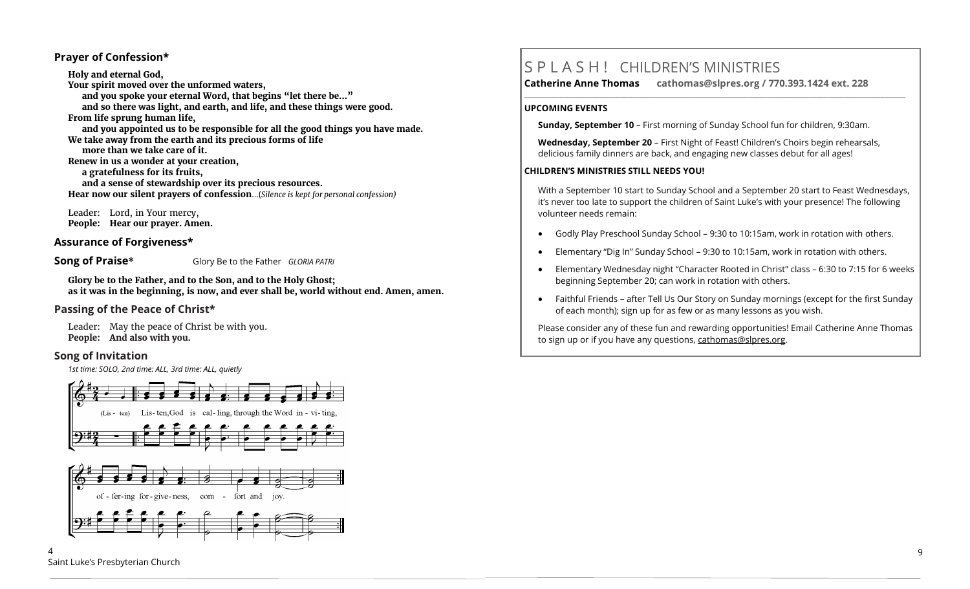#### **Prayer of Confession\***

**Holy and eternal God, Your spirit moved over the unformed waters, and you spoke your eternal Word, that begins "let there be…" and so there was light, and earth, and life, and these things were good. From life sprung human life, and you appointed us to be responsible for all the good things you have made. We take away from the earth and its precious forms of life more than we take care of it. Renew in us a wonder at your creation, a gratefulness for its fruits, and a sense of stewardship over its precious resources. Hear now our silent prayers of confession**...(*Silence is kept for personal confession)* 

Leader: Lord, in Your mercy, **People: Hear our prayer. Amen.**

#### **Assurance of Forgiveness\***

**Song of Praise\*** Glory Be to the Father *GLORIA PATRI*

**Glory be to the Father, and to the Son, and to the Holy Ghost; as it was in the beginning, is now, and ever shall be, world without end. Amen, amen.**

## **Passing of the Peace of Christ\***

Leader: May the peace of Christ be with you. **People: And also with you.**

#### **Song of Invitation**

*1st time: SOLO, 2nd time: ALL, 3rd time: ALL, quietly*



# S P L A S H ! CHILDREN'S MINISTRIES

**Catherine Anne Thomas cathomas@slpres.org / 770.393.1424 ext. 228 \_\_\_\_\_\_\_\_\_\_\_\_\_\_\_\_\_\_\_\_\_\_\_\_\_\_\_\_\_\_\_\_\_\_\_\_\_\_\_\_\_\_\_\_\_\_\_\_\_\_\_\_\_\_\_\_\_\_\_\_\_\_\_\_\_\_\_\_\_\_\_\_\_\_\_\_\_\_\_\_\_\_\_\_\_\_\_\_\_\_\_\_\_\_\_\_\_\_\_\_\_\_\_\_\_\_\_** 

#### **UPCOMING EVENTS**

**Sunday, September 10** – First morning of Sunday School fun for children, 9:30am.

**Wednesday, September 20** – First Night of Feast! Children's Choirs begin rehearsals, delicious family dinners are back, and engaging new classes debut for all ages!

#### **CHILDREN'S MINISTRIES STILL NEEDS YOU!**

With a September 10 start to Sunday School and a September 20 start to Feast Wednesdays, it's never too late to support the children of Saint Luke's with your presence! The following volunteer needs remain:

- Godly Play Preschool Sunday School 9:30 to 10:15am, work in rotation with others.
- Elementary "Dig In" Sunday School 9:30 to 10:15am, work in rotation with others.
- Elementary Wednesday night "Character Rooted in Christ" class 6:30 to 7:15 for 6 weeks beginning September 20; can work in rotation with others.
- Faithful Friends after Tell Us Our Story on Sunday mornings (except for the first Sunday of each month); sign up for as few or as many lessons as you wish.

Please consider any of these fun and rewarding opportunities! Email Catherine Anne Thomas to sign up or if you have any questions, cathomas@slpres.org.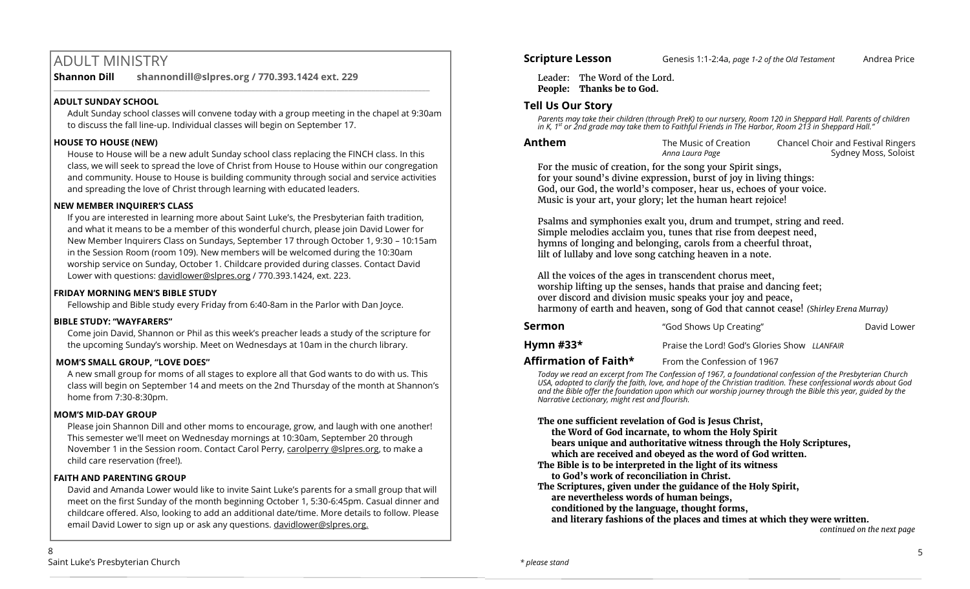# ADULT MINISTRY

**Shannon Dill shannondill@slpres.org / 770.393.1424 ext. 229** 

# **ADULT SUNDAY SCHOOL**

Adult Sunday school classes will convene today with a group meeting in the chapel at 9:30am to discuss the fall line-up. Individual classes will begin on September 17.

 $\_$  ,  $\_$  ,  $\_$  ,  $\_$  ,  $\_$  ,  $\_$  ,  $\_$  ,  $\_$  ,  $\_$  ,  $\_$  ,  $\_$  ,  $\_$  ,  $\_$  ,  $\_$  ,  $\_$  ,  $\_$  ,  $\_$  ,  $\_$  ,  $\_$ 

#### **HOUSE TO HOUSE (NEW)**

House to House will be a new adult Sunday school class replacing the FINCH class. In this class, we will seek to spread the love of Christ from House to House within our congregation and community. House to House is building community through social and service activities and spreading the love of Christ through learning with educated leaders.

#### **NEW MEMBER INQUIRER'S CLASS**

If you are interested in learning more about Saint Luke's, the Presbyterian faith tradition, and what it means to be a member of this wonderful church, please join David Lower for New Member Inquirers Class on Sundays, September 17 through October 1, 9:30 – 10:15am in the Session Room (room 109). New members will be welcomed during the 10:30am worship service on Sunday, October 1. Childcare provided during classes. Contact David Lower with questions: [davidlower@slpres.org](mailto:davidlower@slpres.org) / 770.393.1424, ext. 223.

#### **FRIDAY MORNING MEN'S BIBLE STUDY**

Fellowship and Bible study every Friday from 6:40-8am in the Parlor with Dan Joyce.

#### **BIBLE STUDY: "WAYFARERS"**

Come join David, Shannon or Phil as this week's preacher leads a study of the scripture for the upcoming Sunday's worship. Meet on Wednesdays at 10am in the church library.

## **MOM'S SMALL GROUP, "LOVE DOES"**

A new small group for moms of all stages to explore all that God wants to do with us. This class will begin on September 14 and meets on the 2nd Thursday of the month at Shannon's home from 7:30-8:30pm.

## **MOM'S MID-DAY GROUP**

Please join Shannon Dill and other moms to encourage, grow, and laugh with one another! This semester we'll meet on Wednesday mornings at 10:30am, September 20 through November 1 in the Session room. Contact Carol Perry, carolperry @slpres.org, to make a child care reservation (free!).

## **FAITH AND PARENTING GROUP**

David and Amanda Lower would like to invite Saint Luke's parents for a small group that will meet on the first Sunday of the month beginning October 1, 5:30-6:45pm. Casual dinner and childcare offered. Also, looking to add an additional date/time. More details to follow. Please email David Lower to sign up or ask any questions. davidlower@slpres.org.

Leader: The Word of the Lord. **People: Thanks be to God.**

# **Tell Us Our Story**

Parents may take their children (through PreK) to our nursery, Room 120 in Sheppard Hall. Parents of children<br>in K, 1<sup>st</sup> or 2nd grade may take them to Faithful Friends in The Harbor, Room 213 in Sheppard Hall."

| Anthem | The Music of Creation | Chancel Choir and Festival Ringers |
|--------|-----------------------|------------------------------------|
|        | Anna Laura Page       | Sydney Moss, Soloist               |

For the music of creation, for the song your Spirit sings, for your sound's divine expression, burst of joy in living things: God, our God, the world's composer, hear us, echoes of your voice. Music is your art, your glory; let the human heart rejoice!

Psalms and symphonies exalt you, drum and trumpet, string and reed. Simple melodies acclaim you, tunes that rise from deepest need, hymns of longing and belonging, carols from a cheerful throat, lilt of lullaby and love song catching heaven in a note.

All the voices of the ages in transcendent chorus meet, worship lifting up the senses, hands that praise and dancing feet; over discord and division music speaks your joy and peace, harmony of earth and heaven, song of God that cannot cease! *(Shirley Erena Murray)*

| Sermon    | "God Shows Up Creating"                      | David Lower |
|-----------|----------------------------------------------|-------------|
| Hymn #33* | Praise the Lord! God's Glories Show LLANFAIR |             |
| - ---     |                                              |             |

**Affirmation of Faith\*** From the Confession of 1967

*Today we read an excerpt from The Confession of 1967, a foundational confession of the Presbyterian Church USA, adopted to clarify the faith, love, and hope of the Christian tradition. These confessional words about God and the Bible offer the foundation upon which our worship journey through the Bible this year, guided by the Narrative Lectionary, might rest and flourish.*

#### **The one sufficient revelation of God is Jesus Christ,**

**the Word of God incarnate, to whom the Holy Spirit** 

**bears unique and authoritative witness through the Holy Scriptures,**

- **which are received and obeyed as the word of God written.**
- **The Bible is to be interpreted in the light of its witness**
- **to God's work of reconciliation in Christ.**
- **The Scriptures, given under the guidance of the Holy Spirit,**
- **are nevertheless words of human beings,**
- **conditioned by the language, thought forms,**

**and literary fashions of the places and times at which they were written.**

 *continued on the next page*